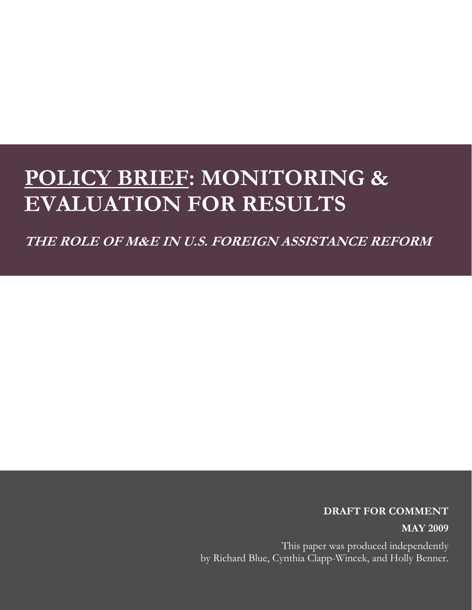# **POLICY BRIEF: MONITORING & EVALUATION FOR RESULTS**

**THE ROLE OF M&E IN U.S. FOREIGN ASSISTANCE REFORM** 

#### **DRAFT FOR COMMENT**

**MAY 2009**

This paper was produced independently by Richard Blue, Cynthia Clapp-Wincek, and Holly Benner.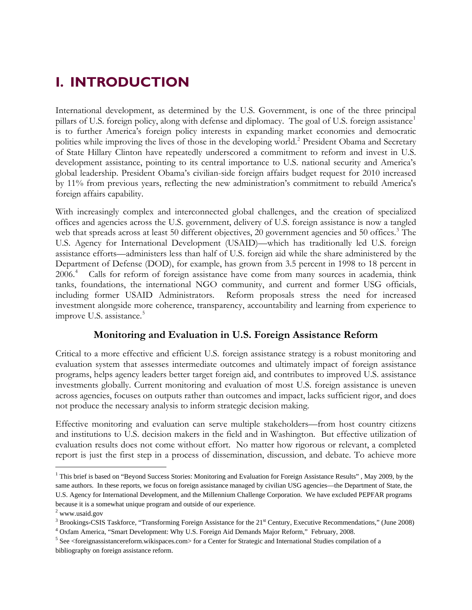# **I. INTRODUCTION**

International development, as determined by the U.S. Government, is one of the three principal pillars of U.S. foreign policy, along with defense and diplomacy. The goal of U.S. foreign assistance<sup>[1](#page-1-0)</sup> is to further America's foreign policy interests in expanding market economies and democratic polities while improving the lives of those in the developing world.<sup>[2](#page-1-1)</sup> President Obama and Secretary of State Hillary Clinton have repeatedly underscored a commitment to reform and invest in U.S. development assistance, pointing to its central importance to U.S. national security and America's global leadership. President Obama's civilian-side foreign affairs budget request for 2010 increased by 11% from previous years, reflecting the new administration's commitment to rebuild America's foreign affairs capability.

With increasingly complex and interconnected global challenges, and the creation of specialized offices and agencies across the U.S. government, delivery of U.S. foreign assistance is now a tangled web that spreads across at least 50 different objectives, 20 government agencies and 50 offices.<sup>3</sup> The U.S. Agency for International Development (USAID)—which has traditionally led U.S. foreign assistance efforts—administers less than half of U.S. foreign aid while the share administered by the Department of Defense (DOD), for example, has grown from 3.5 percent in 1998 to 18 percent in 2006.[4](#page-1-3) Calls for reform of foreign assistance have come from many sources in academia, think tanks, foundations, the international NGO community, and current and former USG officials, including former USAID Administrators. Reform proposals stress the need for increased investment alongside more coherence, transparency, accountability and learning from experience to improve U.S. assistance.<sup>[5](#page-1-4)</sup>

### **Monitoring and Evaluation in U.S. Foreign Assistance Reform**

Critical to a more effective and efficient U.S. foreign assistance strategy is a robust monitoring and evaluation system that assesses intermediate outcomes and ultimately impact of foreign assistance programs, helps agency leaders better target foreign aid, and contributes to improved U.S. assistance investments globally. Current monitoring and evaluation of most U.S. foreign assistance is uneven across agencies, focuses on outputs rather than outcomes and impact, lacks sufficient rigor, and does not produce the necessary analysis to inform strategic decision making.

Effective monitoring and evaluation can serve multiple stakeholders—from host country citizens and institutions to U.S. decision makers in the field and in Washington. But effective utilization of evaluation results does not come without effort. No matter how rigorous or relevant, a completed report is just the first step in a process of dissemination, discussion, and debate. To achieve more

 $\overline{a}$ 

<span id="page-1-0"></span><sup>&</sup>lt;sup>1</sup> This brief is based on "Beyond Success Stories: Monitoring and Evaluation for Foreign Assistance Results", May 2009, by the same authors. In these reports, we focus on foreign assistance managed by civilian USG agencies—the Department of State, the U.S. Agency for International Development, and the Millennium Challenge Corporation. We have excluded PEPFAR programs because it is a somewhat unique program and outside of our experience.

<span id="page-1-1"></span><sup>&</sup>lt;sup>2</sup> www.usaid.gov

<span id="page-1-2"></span><sup>&</sup>lt;sup>3</sup> Brookings-CSIS Taskforce, "Transforming Foreign Assistance for the  $21<sup>st</sup>$  Century, Executive Recommendations," (June 2008)  $^4$  Orform Armoriae "Smart Development: Why U.S. Foreign Aid Demanda Maior Reform ". Feb <sup>4</sup> Oxfam America, "Smart Development: Why U.S. Foreign Aid Demands Major Reform," February, 2008.

<span id="page-1-4"></span><span id="page-1-3"></span> $5$  See <foreignassistancereform.wikispaces.com> for a Center for Strategic and International Studies compilation of a bibliography on foreign assistance reform.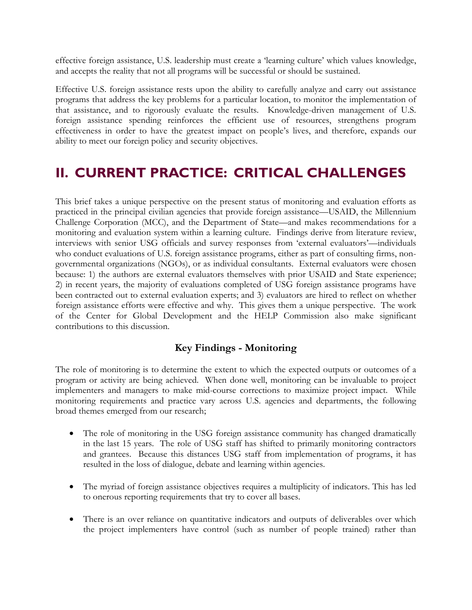effective foreign assistance, U.S. leadership must create a 'learning culture' which values knowledge, and accepts the reality that not all programs will be successful or should be sustained.

Effective U.S. foreign assistance rests upon the ability to carefully analyze and carry out assistance programs that address the key problems for a particular location, to monitor the implementation of that assistance, and to rigorously evaluate the results. Knowledge-driven management of U.S. foreign assistance spending reinforces the efficient use of resources, strengthens program effectiveness in order to have the greatest impact on people's lives, and therefore, expands our ability to meet our foreign policy and security objectives.

# **II. CURRENT PRACTICE: CRITICAL CHALLENGES**

This brief takes a unique perspective on the present status of monitoring and evaluation efforts as practiced in the principal civilian agencies that provide foreign assistance—USAID, the Millennium Challenge Corporation (MCC), and the Department of State—and makes recommendations for a monitoring and evaluation system within a learning culture. Findings derive from literature review, interviews with senior USG officials and survey responses from 'external evaluators'—individuals who conduct evaluations of U.S. foreign assistance programs, either as part of consulting firms, nongovernmental organizations (NGOs), or as individual consultants. External evaluators were chosen because: 1) the authors are external evaluators themselves with prior USAID and State experience; 2) in recent years, the majority of evaluations completed of USG foreign assistance programs have been contracted out to external evaluation experts; and 3) evaluators are hired to reflect on whether foreign assistance efforts were effective and why. This gives them a unique perspective. The work of the Center for Global Development and the HELP Commission also make significant contributions to this discussion.

### **Key Findings - Monitoring**

The role of monitoring is to determine the extent to which the expected outputs or outcomes of a program or activity are being achieved. When done well, monitoring can be invaluable to project implementers and managers to make mid-course corrections to maximize project impact. While monitoring requirements and practice vary across U.S. agencies and departments, the following broad themes emerged from our research;

- The role of monitoring in the USG foreign assistance community has changed dramatically in the last 15 years. The role of USG staff has shifted to primarily monitoring contractors and grantees. Because this distances USG staff from implementation of programs, it has resulted in the loss of dialogue, debate and learning within agencies.
- The myriad of foreign assistance objectives requires a multiplicity of indicators. This has led to onerous reporting requirements that try to cover all bases.
- There is an over reliance on quantitative indicators and outputs of deliverables over which the project implementers have control (such as number of people trained) rather than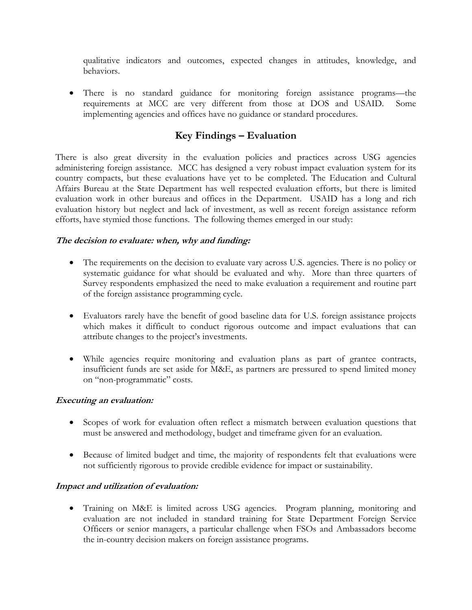qualitative indicators and outcomes, expected changes in attitudes, knowledge, and behaviors.

• There is no standard guidance for monitoring foreign assistance programs—the requirements at MCC are very different from those at DOS and USAID. Some implementing agencies and offices have no guidance or standard procedures.

### **Key Findings – Evaluation**

There is also great diversity in the evaluation policies and practices across USG agencies administering foreign assistance. MCC has designed a very robust impact evaluation system for its country compacts, but these evaluations have yet to be completed. The Education and Cultural Affairs Bureau at the State Department has well respected evaluation efforts, but there is limited evaluation work in other bureaus and offices in the Department. USAID has a long and rich evaluation history but neglect and lack of investment, as well as recent foreign assistance reform efforts, have stymied those functions. The following themes emerged in our study:

#### **The decision to evaluate: when, why and funding:**

- The requirements on the decision to evaluate vary across U.S. agencies. There is no policy or systematic guidance for what should be evaluated and why. More than three quarters of Survey respondents emphasized the need to make evaluation a requirement and routine part of the foreign assistance programming cycle.
- Evaluators rarely have the benefit of good baseline data for U.S. foreign assistance projects which makes it difficult to conduct rigorous outcome and impact evaluations that can attribute changes to the project's investments.
- While agencies require monitoring and evaluation plans as part of grantee contracts, insufficient funds are set aside for M&E, as partners are pressured to spend limited money on "non-programmatic" costs.

#### **Executing an evaluation:**

- Scopes of work for evaluation often reflect a mismatch between evaluation questions that must be answered and methodology, budget and timeframe given for an evaluation.
- Because of limited budget and time, the majority of respondents felt that evaluations were not sufficiently rigorous to provide credible evidence for impact or sustainability.

#### **Impact and utilization of evaluation:**

• Training on M&E is limited across USG agencies. Program planning, monitoring and evaluation are not included in standard training for State Department Foreign Service Officers or senior managers, a particular challenge when FSOs and Ambassadors become the in-country decision makers on foreign assistance programs.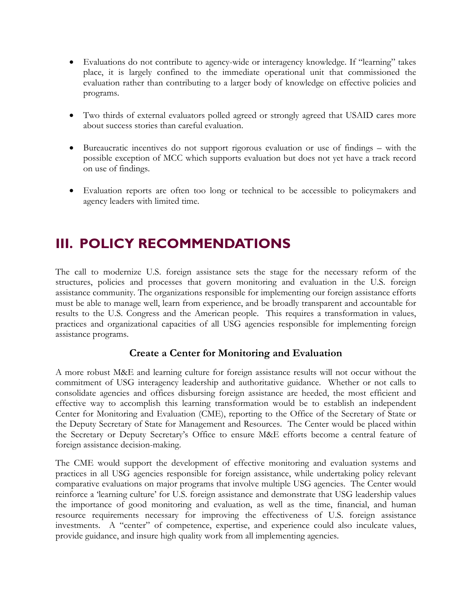- Evaluations do not contribute to agency-wide or interagency knowledge. If "learning" takes place, it is largely confined to the immediate operational unit that commissioned the evaluation rather than contributing to a larger body of knowledge on effective policies and programs.
- Two thirds of external evaluators polled agreed or strongly agreed that USAID cares more about success stories than careful evaluation.
- Bureaucratic incentives do not support rigorous evaluation or use of findings with the possible exception of MCC which supports evaluation but does not yet have a track record on use of findings.
- Evaluation reports are often too long or technical to be accessible to policymakers and agency leaders with limited time.

# **III. POLICY RECOMMENDATIONS**

The call to modernize U.S. foreign assistance sets the stage for the necessary reform of the structures, policies and processes that govern monitoring and evaluation in the U.S. foreign assistance community. The organizations responsible for implementing our foreign assistance efforts must be able to manage well, learn from experience, and be broadly transparent and accountable for results to the U.S. Congress and the American people. This requires a transformation in values, practices and organizational capacities of all USG agencies responsible for implementing foreign assistance programs.

### **Create a Center for Monitoring and Evaluation**

A more robust M&E and learning culture for foreign assistance results will not occur without the commitment of USG interagency leadership and authoritative guidance. Whether or not calls to consolidate agencies and offices disbursing foreign assistance are heeded, the most efficient and effective way to accomplish this learning transformation would be to establish an independent Center for Monitoring and Evaluation (CME), reporting to the Office of the Secretary of State or the Deputy Secretary of State for Management and Resources. The Center would be placed within the Secretary or Deputy Secretary's Office to ensure M&E efforts become a central feature of foreign assistance decision-making.

The CME would support the development of effective monitoring and evaluation systems and practices in all USG agencies responsible for foreign assistance, while undertaking policy relevant comparative evaluations on major programs that involve multiple USG agencies. The Center would reinforce a 'learning culture' for U.S. foreign assistance and demonstrate that USG leadership values the importance of good monitoring and evaluation, as well as the time, financial, and human resource requirements necessary for improving the effectiveness of U.S. foreign assistance investments. A "center" of competence, expertise, and experience could also inculcate values, provide guidance, and insure high quality work from all implementing agencies.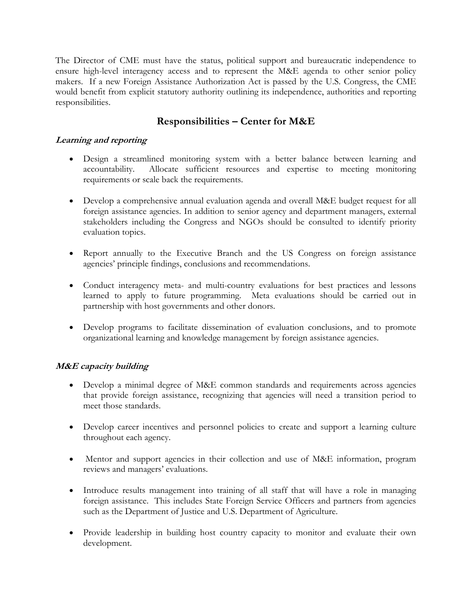The Director of CME must have the status, political support and bureaucratic independence to ensure high-level interagency access and to represent the M&E agenda to other senior policy makers. If a new Foreign Assistance Authorization Act is passed by the U.S. Congress, the CME would benefit from explicit statutory authority outlining its independence, authorities and reporting responsibilities.

## **Responsibilities – Center for M&E**

#### **Learning and reporting**

- Design a streamlined monitoring system with a better balance between learning and accountability. Allocate sufficient resources and expertise to meeting monitoring requirements or scale back the requirements.
- Develop a comprehensive annual evaluation agenda and overall M&E budget request for all foreign assistance agencies. In addition to senior agency and department managers, external stakeholders including the Congress and NGOs should be consulted to identify priority evaluation topics.
- Report annually to the Executive Branch and the US Congress on foreign assistance agencies' principle findings, conclusions and recommendations.
- Conduct interagency meta- and multi-country evaluations for best practices and lessons learned to apply to future programming. Meta evaluations should be carried out in partnership with host governments and other donors.
- Develop programs to facilitate dissemination of evaluation conclusions, and to promote organizational learning and knowledge management by foreign assistance agencies.

#### **M&E capacity building**

- Develop a minimal degree of M&E common standards and requirements across agencies that provide foreign assistance, recognizing that agencies will need a transition period to meet those standards.
- Develop career incentives and personnel policies to create and support a learning culture throughout each agency.
- Mentor and support agencies in their collection and use of M&E information, program reviews and managers' evaluations.
- Introduce results management into training of all staff that will have a role in managing foreign assistance. This includes State Foreign Service Officers and partners from agencies such as the Department of Justice and U.S. Department of Agriculture.
- Provide leadership in building host country capacity to monitor and evaluate their own development.